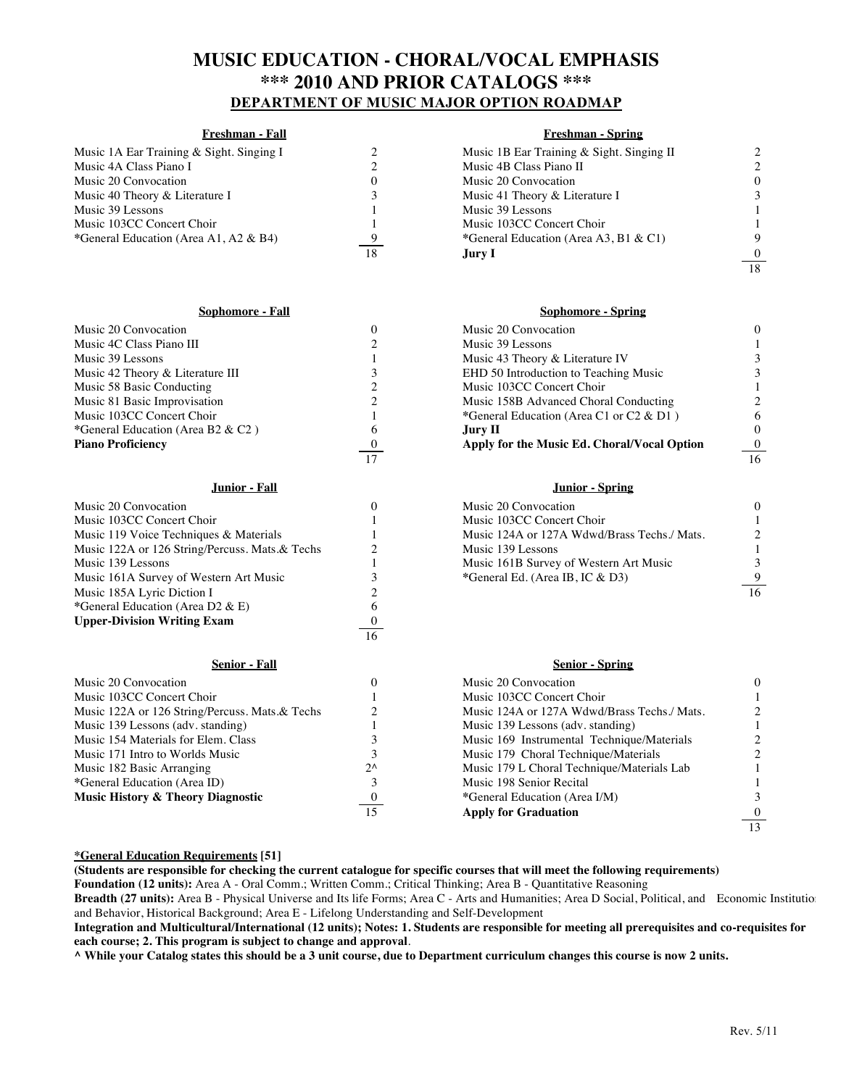# **MUSIC EDUCATION - CHORAL/VOCAL EMPHASIS \*\*\* 2010 AND PRIOR CATALOGS \*\*\* DEPARTMENT OF MUSIC MAJOR OPTION ROADMAP**

### **Freshman - Fall Freshman - Spring**

| Music 1A Ear Training & Sight. Singing I |    | Music 1B Ear Training & Sight. Singing II |  |
|------------------------------------------|----|-------------------------------------------|--|
| Music 4A Class Piano I                   |    | Music 4B Class Piano II                   |  |
| Music 20 Convocation                     |    | Music 20 Convocation                      |  |
| Music 40 Theory & Literature I           |    | Music 41 Theory & Literature I            |  |
| Music 39 Lessons                         |    | Music 39 Lessons                          |  |
| Music 103CC Concert Choir                |    | Music 103CC Concert Choir                 |  |
| *General Education (Area A1, A2 & B4)    |    | *General Education (Area A3, B1 & C1)     |  |
|                                          | 18 | Jury I                                    |  |

#### **Sophomore - Fall Sophomore - Spring**

| <b>Piano Proficiency</b>          | Apply for the Music Ed. Choral/Vocal Option | $\Omega$ |
|-----------------------------------|---------------------------------------------|----------|
| *General Education (Area B2 & C2) | Jury II.                                    |          |
| Music 103CC Concert Choir         | *General Education (Area C1 or C2 & D1)     |          |
| Music 81 Basic Improvisation      | Music 158B Advanced Choral Conducting       |          |
| Music 58 Basic Conducting         | Music 103CC Concert Choir                   |          |
| Music 42 Theory & Literature III  | EHD 50 Introduction to Teaching Music       |          |
| Music 39 Lessons                  | Music 43 Theory & Literature IV             |          |
| Music 4C Class Piano III          | Music 39 Lessons                            |          |
| Music 20 Convocation              | Music 20 Convocation                        |          |

| Music 20 Convocation                           |              | Music 20 Convocation                        |    |
|------------------------------------------------|--------------|---------------------------------------------|----|
| Music 103CC Concert Choir                      |              | Music 103CC Concert Choir                   |    |
| Music 119 Voice Techniques & Materials         |              | Music 124A or 127A Wdwd/Brass Techs./ Mats. |    |
| Music 122A or 126 String/Percuss. Mats.& Techs |              | Music 139 Lessons                           |    |
| Music 139 Lessons                              |              | Music 161B Survey of Western Art Music      |    |
| Music 161A Survey of Western Art Music         |              | *General Ed. (Area IB, IC & D3)             |    |
| Music 185A Lyric Diction I                     |              |                                             | 16 |
| *General Education (Area D2 & E)               |              |                                             |    |
| <b>Upper-Division Writing Exam</b>             |              |                                             |    |
|                                                | 16           |                                             |    |
| <b>Senior - Fall</b>                           |              | <b>Senior - Spring</b>                      |    |
| Music 20 Convocation                           | 0            | Music 20 Convocation                        |    |
| Music 103CC Concert Choir                      |              | Music 103CC Concert Choir                   |    |
| Music 122A or 126 String/Percuss. Mats.& Techs |              | Music 124A or 127A Wdwd/Brass Techs./ Mats. |    |
| Music 139 Lessons (adv. standing)              |              | Music 139 Lessons (adv. standing)           |    |
| Music 154 Materials for Elem. Class            |              | Music 169 Instrumental Technique/Materials  |    |
| Music 171 Intro to Worlds Music                |              | Music 179 Choral Technique/Materials        |    |
| Music 182 Basic Arranging                      | $2^{\wedge}$ | Music 179 L Choral Technique/Materials Lab  |    |
| *General Education (Area ID)                   | 3            | Music 198 Senior Recital                    |    |

| Music 20 Convocation              |          | Music 20 Convocation                        |                 |
|-----------------------------------|----------|---------------------------------------------|-----------------|
| Music 4C Class Piano III          |          | Music 39 Lessons                            |                 |
| Music 39 Lessons                  |          | Music 43 Theory & Literature IV             |                 |
| Music 42 Theory & Literature III  |          | EHD 50 Introduction to Teaching Music       |                 |
| Music 58 Basic Conducting         |          | Music 103CC Concert Choir                   |                 |
| Music 81 Basic Improvisation      |          | Music 158B Advanced Choral Conducting       |                 |
| Music 103CC Concert Choir         |          | *General Education (Area C1 or C2 & D1)     | 6               |
| *General Education (Area B2 & C2) | 6        | Jury II.                                    |                 |
| Piano Proficiency                 | $\bf{0}$ | Apply for the Music Ed. Choral/Vocal Option | $\overline{0}$  |
|                                   | 17       |                                             | $\overline{16}$ |
|                                   |          |                                             |                 |

## **Junior - Fall Junior - Spring**

| Music 20 Convocation                        |  |
|---------------------------------------------|--|
| Music 103CC Concert Choir                   |  |
| Music 124A or 127A Wdwd/Brass Techs./ Mats. |  |
| Music 139 Lessons                           |  |
| Music 161B Survey of Western Art Music      |  |
| *General Ed. (Area IB, IC & D3)             |  |
|                                             |  |

### **Senior - Fall Senior - Spring**

|              | Music 20 Convocation                        |          |
|--------------|---------------------------------------------|----------|
|              | Music 103CC Concert Choir                   |          |
|              | Music 124A or 127A Wdwd/Brass Techs./ Mats. | 2        |
|              | Music 139 Lessons (adv. standing)           |          |
|              | Music 169 Instrumental Technique/Materials  | 2        |
|              | Music 179 Choral Technique/Materials        | 2        |
| $2^{\wedge}$ | Music 179 L Choral Technique/Materials Lab  |          |
|              | Music 198 Senior Recital                    |          |
| $\bf{0}$     | *General Education (Area I/M)               | 3        |
| 15           | <b>Apply for Graduation</b>                 | $\Omega$ |
|              |                                             | 13       |

#### **\*General Education Requirements [51]**

**Music History & Theory Diagnostic**  $\frac{0}{15}$ 

**(Students are responsible for checking the current catalogue for specific courses that will meet the following requirements)**

**Foundation (12 units):** Area A - Oral Comm.; Written Comm.; Critical Thinking; Area B - Quantitative Reasoning

Breadth (27 units): Area B - Physical Universe and Its life Forms; Area C - Arts and Humanities; Area D Social, Political, and Economic Institutions and Behavior, Historical Background; Area E - Lifelong Understanding and Self-Development

**Integration and Multicultural/International (12 units); Notes: 1. Students are responsible for meeting all prerequisites and co-requisites for each course; 2. This program is subject to change and approval**.

**^ While your Catalog states this should be a 3 unit course, due to Department curriculum changes this course is now 2 units.** 

18